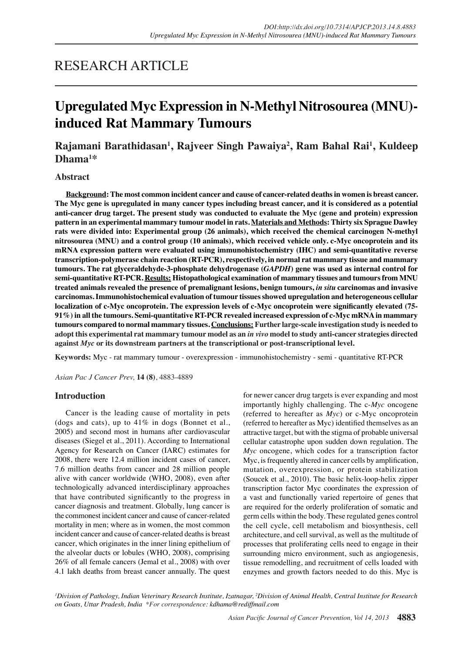## RESEARCH ARTICLE

# **Upregulated Myc Expression in N-Methyl Nitrosourea (MNU) induced Rat Mammary Tumours**

**Rajamani Barathidasan1 , Rajveer Singh Pawaiya2 , Ram Bahal Rai1 , Kuldeep Dhama1 \***

## **Abstract**

**Background: The most common incident cancer and cause of cancer-related deaths in women is breast cancer. The Myc gene is upregulated in many cancer types including breast cancer, and it is considered as a potential anti-cancer drug target. The present study was conducted to evaluate the Myc (gene and protein) expression pattern in an experimental mammary tumour model in rats. Materials and Methods: Thirty six Sprague Dawley rats were divided into: Experimental group (26 animals), which received the chemical carcinogen N-methyl nitrosourea (MNU) and a control group (10 animals), which received vehicle only. c-Myc oncoprotein and its mRNA expression pattern were evaluated using immunohistochemistry (IHC) and semi-quantitative reverse transcription-polymerase chain reaction (RT-PCR), respectively, in normal rat mammary tissue and mammary tumours. The rat glyceraldehyde-3-phosphate dehydrogenase (***GAPDH***) gene was used as internal control for semi-quantitative RT-PCR. Results: Histopathological examination of mammary tissues and tumours from MNU treated animals revealed the presence of premalignant lesions, benign tumours,** *in situ* **carcinomas and invasive carcinomas. Immunohistochemical evaluation of tumour tissues showed upregulation and heterogeneous cellular localization of c-Myc oncoprotein. The expression levels of c-Myc oncoprotein were significantly elevated (75- 91%) in all the tumours. Semi-quantitative RT-PCR revealed increased expression of c-Myc mRNA in mammary tumours compared to normal mammary tissues. Conclusions: Further large-scale investigation study is needed to adopt this experimental rat mammary tumour model as an** *in vivo* **model to study anti-cancer strategies directed against** *Myc* **or its downstream partners at the transcriptional or post-transcriptional level.**

**Keywords:** Myc - rat mammary tumour - overexpression - immunohistochemistry - semi - quantitative RT-PCR

*Asian Pac J Cancer Prev,* **14 (8)**, 4883-4889

## **Introduction**

Cancer is the leading cause of mortality in pets (dogs and cats), up to 41% in dogs (Bonnet et al., 2005) and second most in humans after cardiovascular diseases (Siegel et al., 2011). According to International Agency for Research on Cancer (IARC) estimates for 2008, there were 12.4 million incident cases of cancer, 7.6 million deaths from cancer and 28 million people alive with cancer worldwide (WHO, 2008), even after technologically advanced interdisciplinary approaches that have contributed significantly to the progress in cancer diagnosis and treatment. Globally, lung cancer is the commonest incident cancer and cause of cancer-related mortality in men; where as in women, the most common incident cancer and cause of cancer-related deaths is breast cancer, which originates in the inner lining epithelium of the alveolar ducts or lobules (WHO, 2008), comprising 26% of all female cancers (Jemal et al., 2008) with over 4.1 lakh deaths from breast cancer annually. The quest

for newer cancer drug targets is ever expanding and most importantly highly challenging. The c-*Myc* oncogene (referred to hereafter as *Myc*) or c-Myc oncoprotein (referred to hereafter as Myc) identified themselves as an attractive target, but with the stigma of probable universal cellular catastrophe upon sudden down regulation. The *Myc* oncogene, which codes for a transcription factor Myc, is frequently altered in cancer cells by amplification, mutation, overexpression, or protein stabilization (Soucek et al., 2010). The basic helix-loop-helix zipper transcription factor Myc coordinates the expression of a vast and functionally varied repertoire of genes that are required for the orderly proliferation of somatic and germ cells within the body. These regulated genes control the cell cycle, cell metabolism and biosynthesis, cell architecture, and cell survival, as well as the multitude of processes that proliferating cells need to engage in their surrounding micro environment, such as angiogenesis, tissue remodelling, and recruitment of cells loaded with enzymes and growth factors needed to do this. Myc is

*1 Division of Pathology, Indian Veterinary Research Institute, Izatnagar, 2 Division of Animal Health, Central Institute for Research on Goats, Uttar Pradesh, India \*For correspondence: kdhama@rediffmail.com*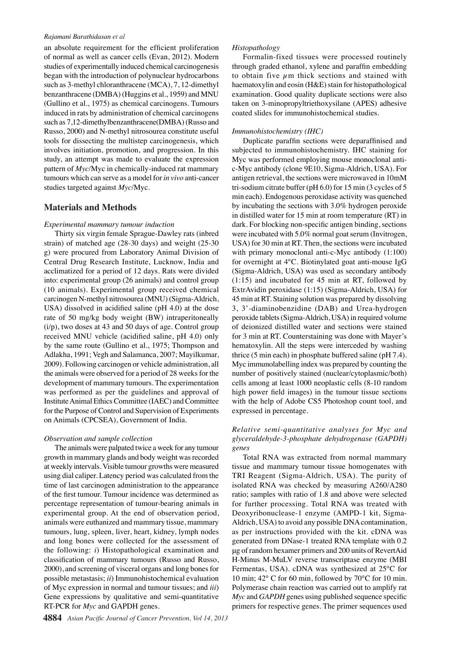#### *Rajamani Barathidasan et al*

an absolute requirement for the efficient proliferation of normal as well as cancer cells (Evan, 2012). Modern studies of experimentally induced chemical carcinogenesis began with the introduction of polynuclear hydrocarbons such as 3-methyl chloranthracene (MCA), 7, 12-dimethyl benzanthracene (DMBA) (Huggins et al., 1959) and MNU (Gullino et al., 1975) as chemical carcinogens. Tumours induced in rats by administration of chemical carcinogens such as 7,12-dimethylbenzanthracene(DMBA) (Russo and Russo, 2000) and N-methyl nitrosourea constitute useful tools for dissecting the multistep carcinogenesis, which involves initiation, promotion, and progression. In this study, an attempt was made to evaluate the expression pattern of *Myc*/Myc in chemically-induced rat mammary tumours which can serve as a model for *in vivo* anti-cancer studies targeted against *Myc*/Myc.

## **Materials and Methods**

#### *Experimental mammary tumour induction*

Thirty six virgin female Sprague-Dawley rats (inbred strain) of matched age (28-30 days) and weight (25-30 g) were procured from Laboratory Animal Division of Central Drug Research Institute, Lucknow, India and acclimatized for a period of 12 days. Rats were divided into: experimental group (26 animals) and control group (10 animals). Experimental group received chemical carcinogen N-methyl nitrosourea (MNU) (Sigma-Aldrich, USA) dissolved in acidified saline (pH 4.0) at the dose rate of 50 mg/kg body weight (BW) intraperitoneally (i/p), two doses at 43 and 50 days of age. Control group received MNU vehicle (acidified saline, pH 4.0) only by the same route (Gullino et al., 1975; Thompson and Adlakha, 1991; Vegh and Salamanca, 2007; Mayilkumar, 2009). Following carcinogen or vehicle administration, all the animals were observed for a period of 28 weeks for the development of mammary tumours. The experimentation was performed as per the guidelines and approval of Institute Animal Ethics Committee (IAEC) and Committee for the Purpose of Control and Supervision of Experiments on Animals (CPCSEA), Government of India.

#### *Observation and sample collection*

The animals were palpated twice a week for any tumour growth in mammary glands and body weight was recorded at weekly intervals. Visible tumour growths were measured using dial caliper. Latency period was calculated from the time of last carcinogen administration to the appearance of the first tumour. Tumour incidence was determined as percentage representation of tumour-bearing animals in experimental group. At the end of observation period, animals were euthanized and mammary tissue, mammary tumours, lung, spleen, liver, heart, kidney, lymph nodes and long bones were collected for the assessment of the following: *i*) Histopathological examination and classification of mammary tumours (Russo and Russo, 2000), and screening of visceral organs and long bones for possible metastasis; *ii*) Immunohistochemical evaluation of Myc expression in normal and tumour tissues; and *iii*) Gene expressions by qualitative and semi-quantitative RT-PCR for *Myc* and GAPDH genes.

#### *Histopathology*

Formalin-fixed tissues were processed routinely through graded ethanol, xylene and paraffin embedding to obtain five  $\mu$ m thick sections and stained with haematoxylin and eosin (H&E) stain for histopathological examination. Good quality duplicate sections were also taken on 3-minopropyltriethoxysilane (APES) adhesive coated slides for immunohistochemical studies.

#### *Immunohistochemistry (IHC)*

Duplicate paraffin sections were deparaffinised and subjected to immunohistochemistry. IHC staining for Myc was performed employing mouse monoclonal antic-Myc antibody (clone 9E10, Sigma-Aldrich, USA). For antigen retrieval, the sections were microwaved in 10mM tri-sodium citrate buffer (pH 6.0) for 15 min (3 cycles of 5 min each). Endogenous peroxidase activity was quenched by incubating the sections with 3.0% hydrogen peroxide in distilled water for 15 min at room temperature (RT) in dark. For blocking non-specific antigen binding, sections were incubated with 5.0% normal goat serum (Invitrogen, USA) for 30 min at RT. Then, the sections were incubated with primary monoclonal anti-c-Myc antibody (1:100) for overnight at 4°C. Biotinylated goat anti-mouse IgG (Sigma-Aldrich, USA) was used as secondary antibody (1:15) and incubated for 45 min at RT, followed by ExtrAvidin peroxidase (1:15) (Sigma-Aldrich, USA) for 45 min at RT. Staining solution was prepared by dissolving 3, 3'-diaminobenzidine (DAB) and Urea-hydrogen peroxide tablets (Sigma-Aldrich, USA) in required volume of deionized distilled water and sections were stained for 3 min at RT. Counterstaining was done with Mayer's hematoxylin. All the steps were interceded by washing thrice (5 min each) in phosphate buffered saline (pH 7.4). Myc immunolabelling index was prepared by counting the number of positively stained (nuclear/cytoplasmic/both) cells among at least 1000 neoplastic cells (8-10 random high power field images) in the tumour tissue sections with the help of Adobe CS5 Photoshop count tool, and expressed in percentage.

## *Relative semi-quantitative analyses for Myc and glyceraldehyde-3-phosphate dehydrogenase (GAPDH) genes*

Total RNA was extracted from normal mammary tissue and mammary tumour tissue homogenates with TRI Reagent (Sigma-Aldrich, USA). The purity of isolated RNA was checked by measuring A260/A280 ratio; samples with ratio of 1.8 and above were selected for further processing. Total RNA was treated with Deoxyribonuclease-1 enzyme (AMPD-1 kit, Sigma-Aldrich, USA) to avoid any possible DNA contamination, as per instructions provided with the kit. cDNA was generated from DNase-1 treated RNA template with 0.2 μg of random hexamer primers and 200 units of RevertAid H-Minus M-MuLV reverse transcriptase enzyme (MBI Fermentas, USA). cDNA was synthesized at 25°C for 10 min; 42° C for 60 min, followed by 70°C for 10 min. Polymerase chain reaction was carried out to amplify rat *Myc* and *GAPDH* genes using published sequence specific primers for respective genes. The primer sequences used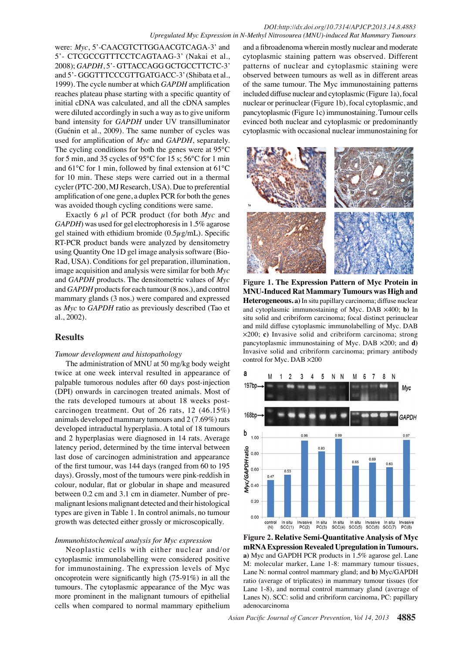#### *DOI:http://dx.doi.org/10.7314/APJCP.2013.14.8.4883 Upregulated Myc Expression in N-Methyl Nitrosourea (MNU)-induced Rat Mammary Tumours*

were: *Myc*, 5'-CAACGTCTTGGAACGTCAGA-3' and 5'- CTCGCCGTTTCCTCAGTAAG-3' (Nakai et al., 2008); *GAPDH*, 5'- GTTACCAGG GCTGCCTTCTC-3' and 5'- GGGTTTCCCGTTGATGACC-3' (Shibata et al., 1999). The cycle number at which *GAPDH* amplification reaches plateau phase starting with a specific quantity of initial cDNA was calculated, and all the cDNA samples were diluted accordingly in such a way as to give uniform band intensity for *GAPDH* under UV transilluminator (Guénin et al., 2009). The same number of cycles was used for amplification of *Myc* and *GAPDH*, separately. The cycling conditions for both the genes were at 95°C for 5 min, and 35 cycles of 95°C for 15 s; 56°C for 1 min and 61°C for 1 min, followed by final extension at 61°C for 10 min. These steps were carried out in a thermal cycler (PTC-200, MJ Research, USA). Due to preferential amplification of one gene, a duplex PCR for both the genes was avoided though cycling conditions were same.

Exactly 6 µl of PCR product (for both *Myc* and *GAPDH*) was used for gel electrophoresis in 1.5% agarose gel stained with ethidium bromide  $(0.5\mu g/mL)$ . Specific RT-PCR product bands were analyzed by densitometry using Quantity One 1D gel image analysis software (Bio-Rad, USA). Conditions for gel preparation, illumination, image acquisition and analysis were similar for both *Myc* and *GAPDH* products. The densitometric values of *Myc* and *GAPDH* products for each tumour (8 nos.), and control mammary glands (3 nos.) were compared and expressed as *Myc* to *GAPDH* ratio as previously described (Tao et al., 2002).

## **Results**

#### *Tumour development and histopathology*

The administration of MNU at 50 mg/kg body weight twice at one week interval resulted in appearance of palpable tumorous nodules after 60 days post-injection (DPI) onwards in carcinogen treated animals. Most of the rats developed tumours at about 18 weeks postcarcinogen treatment. Out of 26 rats, 12 (46.15%) animals developed mammary tumours and 2 (7.69%) rats developed intraductal hyperplasia. A total of 18 tumours and 2 hyperplasias were diagnosed in 14 rats. Average latency period, determined by the time interval between last dose of carcinogen administration and appearance of the first tumour, was 144 days (ranged from 60 to 195 days). Grossly, most of the tumours were pink-reddish in colour, nodular, flat or globular in shape and measured between 0.2 cm and 3.1 cm in diameter. Number of premalignant lesions malignant detected and their histological types are given in Table 1. In control animals, no tumour growth was detected either grossly or microscopically.

#### *Immunohistochemical analysis for Myc expression*

Neoplastic cells with either nuclear and/or cytoplasmic immunolabelling were considered positive for immunostaining. The expression levels of Myc oncoprotein were significantly high (75-91%) in all the tumours. The cytoplasmic appearance of the Myc was more prominent in the malignant tumours of epithelial cells when compared to normal mammary epithelium

and a fibroadenoma wherein mostly nuclear and moderate cytoplasmic staining pattern was observed. Different patterns of nuclear and cytoplasmic staining were observed between tumours as well as in different areas of the same tumour. The Myc immunostaining patterns included diffuse nuclear and cytoplasmic (Figure 1a), focal nuclear or perinuclear (Figure 1b), focal cytoplasmic, and pancytoplasmic (Figure 1c) immunostaining. Tumour cells evinced both nuclear and cytoplasmic or predominantly cytoplasmic with occasional nuclear immunostaining for



**Figure 1. The Expression Pattern of Myc Protein in MNU-Induced Rat Mammary Tumours was High and Heterogeneous. a)** In situ papillary carcinoma; diffuse nuclear and cytoplasmic immunostaining of Myc. DAB  $\times$ 400; **b**) In situ solid and cribriform carcinoma; focal distinct perinuclear and mild diffuse cytoplasmic immunolabelling of Myc. DAB 5200; **c)** Invasive solid and cribriform carcinoma; strong pancytoplasmic immunostaining of Myc. DAB  $\times$ 200; and **d**) Invasive solid and cribriform carcinoma; primary antibody control for Myc. DAB  $\times 200$ 



**Figure 2. Relative Semi-Quantitative Analysis of Myc mRNA Expression Revealed Upregulation in Tumours. a)** Myc and GAPDH PCR products in 1.5% agarose gel. Lane M: molecular marker, Lane 1-8: mammary tumour tissues, Lane N: normal control mammary gland; and **b)** Myc/GAPDH ratio (average of triplicates) in mammary tumour tissues (for Lane 1-8), and normal control mammary gland (average of Lanes N). SCC: solid and cribriform carcinoma, PC: papillary adenocarcinoma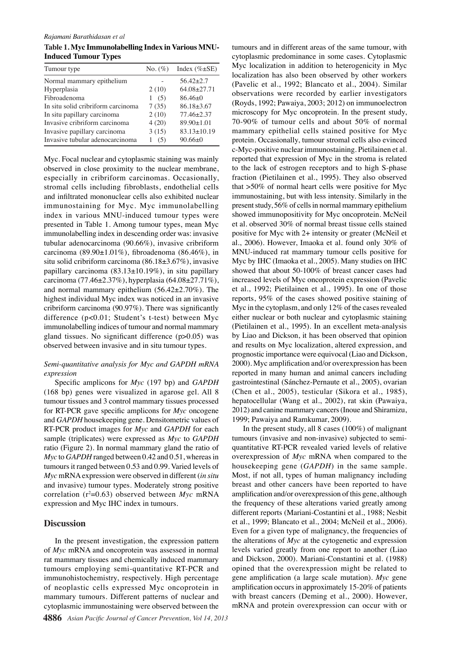**Table 1. Myc Immunolabelling Index in Various MNU-Induced Tumour Types**

| Tumour type                        | $No. (\%)$ | Index $(\% \pm SE)$ |
|------------------------------------|------------|---------------------|
| Normal mammary epithelium          |            | $56.42 + 2.7$       |
| Hyperplasia                        | 2(10)      | $64.08 + 27.71$     |
| Fibroadenoma                       | (5)        | $86.46 \pm 0$       |
| In situ solid cribriform carcinoma | 7(35)      | $86.18 \pm 3.67$    |
| In situ papillary carcinoma        | 2(10)      | $77.46 \pm 2.37$    |
| Invasive cribriform carcinoma      | 4(20)      | $89.90 \pm 1.01$    |
| Invasive papillary carcinoma       | 3(15)      | $83.13 \pm 10.19$   |
| Invasive tubular adenocarcinoma    | (5)<br>L   | $90.66 \pm 0$       |

immunolabelling index in descending order was: invasive  $25.0$  ositive for Myc with  $2+$  intensity or greater (McNeil et immunostaining for Myc. Myc immunolabelling 50. Oresent study, 56% of cells in normal managment epithelium 30.0 observed in close proximity to the nuclear membrane,  $75.0^\circ$  the lack of estrogen receptors and  $25.0^\circ$  and  $25.0^\circ$  sphase 30.0 Myc. Focal nuclear and cytoplasmic staining was mainly especially in cribriform carcinomas. Occasionally, stromal cells including fibroblasts, endothelial cells and infiltrated mononuclear cells also exhibited nuclear index in various MNU-induced tumour types were presented in Table 1. Among tumour types, mean Myc tubular adenocarcinoma (90.66%), invasive cribriform carcinoma (89.90±1.01%), fibroadenoma (86.46%), in situ solid cribriform carcinoma (86.18±3.67%), invasive papillary carcinoma  $(83.13\pm10.19\%)$ , in situ papillary carcinoma (77.46±2.37%), hyperplasia (64.08±27.71%), and normal mammary epithelium  $(56.42 \pm 2.70\%)$ . The highest individual Myc index was noticed in an invasive cribriform carcinoma (90.97%). There was significantly difference (p<0.01; Student's t-test) between Myc immunolabelling indices of tumour and normal mammary gland tissues. No significant difference (p>0.05) was observed between invasive and in situ tumour types.

#### *Semi-quantitative analysis for Myc and GAPDH mRNA expression*

Specific amplicons for *Myc* (197 bp) and *GAPDH*  (168 bp) genes were visualized in agarose gel. All 8 tumour tissues and 3 control mammary tissues processed for RT-PCR gave specific amplicons for *Myc* oncogene and *GAPDH* housekeeping gene. Densitometric values of RT-PCR product images for *Myc* and *GAPDH* for each sample (triplicates) were expressed as *Myc* to *GAPDH* ratio (Figure 2). In normal mammary gland the ratio of *Myc* to *GAPDH* ranged between 0.42 and 0.51, whereas in tumours it ranged between 0.53 and 0.99. Varied levels of *Myc* mRNA expression were observed in different (*in situ*  and invasive) tumour types. Moderately strong positive correlation  $(r^2=0.63)$  observed between *Myc* mRNA expression and Myc IHC index in tumours.

#### **Discussion**

In the present investigation, the expression pattern of *Myc* mRNA and oncoprotein was assessed in normal rat mammary tissues and chemically induced mammary tumours employing semi-quantitative RT-PCR and immunohistochemistry, respectively. High percentage of neoplastic cells expressed Myc oncoprotein in mammary tumours. Different patterns of nuclear and cytoplasmic immunostaining were observed between the

100. Orotein. Occasionally, tumour stromal cells also evinced tumours and in different areas of the same tumour, with cytoplasmic predominance in some cases. Cytoplasmic Myc localization in addition to heterogenicity in Myc localization has also been observed by other workers (Pavelic et al., 1992; Blancato et al., 2004). Similar observations were recorded by earlier investigators (Royds, 1992; Pawaiya, 2003; 2012) on immunoelectron microscopy for Myc oncoprotein. In the present study, 70-90% of tumour cells and about 50% of normal mammary epithelial cells stained positive for Myc

Chowed that about 50-100% of breast cancer cases had Newly diagnosed with the present Newly diagnosed with treatment Persistence or recurrence Remission **20.3 6.3 10.1** c-Myc-positive nuclear immunostaining. Pietilainen et al. that  $>50\%$  of normal heart cells were positive for Myc **25.0 27.6 33.1 31.3 30.0 23.7** MNU-induced rat mammary tumour cells positive for **38.0 31.3** al., 2006). However, Imaoka et al. found only 30% of reported that expression of  $\begin{bmatrix} 20.3 \\ M \end{bmatrix}$  the stroma is related fraction (Pietilainen et al., 1995). They also observed immunostaining, but with less intensity. Similarly in the showed immunopositivity for Myc oncoprotein. McNeil et al. observed  $30\%$  of normal breast tissue cells stained Myc by IHC (Imaoka et al., 2005). Many studies on IHC increased tevels of Ngyc oncoprotein expression (Pavelic et al., 19 $\mathbb{E}$ ; Pietilanen et al., 1995). In one of those reports,  $9\frac{8}{3}\%$  of the cases showed posing ve staining of Myc in the cytoplasm, and only  $\frac{1}{2\%}$  of the cases revealed either nuclear or both nuclear and cytoplasmic staining (Pietilainen et al., 1995). In  $a\overline{B}$  excellent meta-analysis by Liao and Dickson, it has been observed that opinion and results on Myc socalization, altered expression, and prognosti $\tilde{\vec{a}}$  mportan $\hat{\mathcal{F}}$  were equivocal (Liao and Dickson, 2000). My amplification and/or overexpression has been reported  $\ddot{\mathbf{m}}$  many human and animal cancers including gastrointestinal (Sánchez-Pernaute et al., 2005), ovarian (Chen et al., 2005), testicular (Sikora et al., 1985), hepatocellular (Wang et al., 2002), rat skin (Pawaiya, 2012) and canine mammary cancers (Inoue and Shiramizu, 1999; Pawaiya and Ramkumar, 2009).

In the present study, all 8 cases (100%) of malignant tumours (invasive and non-invasive) subjected to semiquantitative RT-PCR revealed varied levels of relative overexpression of *Myc* mRNA when compared to the housekeeping gene (*GAPDH*) in the same sample. Most, if not all, types of human malignancy including breast and other cancers have been reported to have amplification and/or overexpression of this gene, although the frequency of these alterations varied greatly among different reports (Mariani-Costantini et al., 1988; Nesbit et al., 1999; Blancato et al., 2004; McNeil et al., 2006). Even for a given type of malignancy, the frequencies of the alterations of *Myc* at the cytogenetic and expression levels varied greatly from one report to another (Liao and Dickson, 2000). Mariani-Constantini et al. (1988) opined that the overexpression might be related to gene amplification (a large scale mutation). *Myc* gene amplification occurs in approximately 15-20% of patients with breast cancers (Deming et al., 2000). However, mRNA and protein overexpression can occur with or

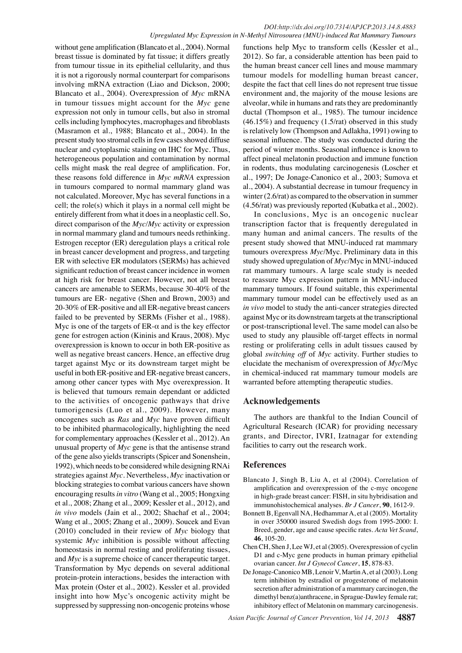without gene amplification (Blancato et al., 2004). Normal breast tissue is dominated by fat tissue; it differs greatly from tumour tissue in its epithelial cellularity, and thus it is not a rigorously normal counterpart for comparisons involving mRNA extraction (Liao and Dickson, 2000; Blancato et al., 2004). Overexpression of *Myc* mRNA in tumour tissues might account for the *Myc* gene expression not only in tumour cells, but also in stromal cells including lymphocytes, macrophages and fibroblasts (Masramon et al., 1988; Blancato et al., 2004). In the present study too stromal cells in few cases showed diffuse nuclear and cytoplasmic staining on IHC for Myc. Thus, heterogeneous population and contamination by normal cells might mask the real degree of amplification. For, these reasons fold difference in *Myc mRNA* expression in tumours compared to normal mammary gland was not calculated. Moreover, Myc has several functions in a cell; the role(s) which it plays in a normal cell might be entirely different from what it does in a neoplastic cell. So, direct comparison of the *Myc/Myc* activity or expression in normal mammary gland and tumours needs rethinking. Estrogen receptor (ER) deregulation plays a critical role in breast cancer development and progress, and targeting ER with selective ER modulators (SERMs) has achieved significant reduction of breast cancer incidence in women at high risk for breast cancer. However, not all breast cancers are amenable to SERMs, because 30-40% of the tumours are ER- negative (Shen and Brown, 2003) and 20-30% of ER-positive and all ER-negative breast cancers failed to be prevented by SERMs (Fisher et al., 1988). Myc is one of the targets of ER- $\alpha$  and is the key effector gene for estrogen action (Kininis and Kraus, 2008). Myc overexpression is known to occur in both ER-positive as well as negative breast cancers. Hence, an effective drug target against Myc or its downstream target might be useful in both ER-positive and ER-negative breast cancers, among other cancer types with Myc overexpression. It is believed that tumours remain dependant or addicted to the activities of oncogenic pathways that drive tumorigenesis (Luo et al., 2009). However, many oncogenes such as *Ras* and *Myc* have proven difficult to be inhibited pharmacologically, highlighting the need for complementary approaches (Kessler et al., 2012). An unusual property of *Myc* gene is that the antisense strand of the gene also yields transcripts (Spicer and Sonenshein, 1992), which needs to be considered while designing RNAi strategies against *Myc*. Nevertheless, *Myc* inactivation or blocking strategies to combat various cancers have shown encouraging results *in vitro* (Wang et al., 2005; Hongxing et al., 2008; Zhang et al., 2009; Kessler et al., 2012), and *in vivo* models (Jain et al., 2002; Shachaf et al., 2004; Wang et al., 2005; Zhang et al., 2009). Soucek and Evan (2010) concluded in their review of *Myc* biology that systemic *Myc* inhibition is possible without affecting homeostasis in normal resting and proliferating tissues, and *Myc* is a supreme choice of cancer therapeutic target. Transformation by Myc depends on several additional protein-protein interactions, besides the interaction with Max protein (Oster et al., 2002). Kessler et al. provided insight into how Myc's oncogenic activity might be suppressed by suppressing non-oncogenic proteins whose

50.0 (4.56/rat) was previously reported (Kubatka et al., 2002). in rodents, thus modulating carcinogenesis (Loscher et<sub>75.0</sub> seasonal influence. The study was conducted during the 00.0 functions help Myc to transform cells (Kessler et al., 2012). So far, a considerable attention has been paid to the human breast cancer cell lines and mouse mammary tumour models for modelling human breast cancer, despite the fact that cell lines do not represent true tissue environment and, the majority of the mouse lesions are alveolar, while in humans and rats they are predominantly ductal (Thompson et al., 1985). The tumour incidence  $(46.15\%)$  and frequency  $(1.5/\text{rat})$  observed in this study is relatively low (Thompson and Adlakha, 1991) owing to period of winter months. Seasonal influence is known to affect pineal melatonin production and immune function al., 1997; De Jonage-Canonico et al., 2003; Sumova et al., 2004). A substantial decrease in tumour frequency in winter (2.6/rat) as compared to the observation in summer

0 many human and animal cancers. The results of the 25.0 In conclusions, Myc is an oncogenic nuclear transcription factor that is frequently deregulated in present study showed that MNU-induced rat mammary tumours overexpress *Myc*/Myc. Preliminary data in this study showed upregulation of *Myc*/Myc in MNU-induced rat mammary tumours. A large scale study is needed to reassure Myc expression pattern in MNU-induced mammary tumours. If found suitable, this experimental mammary tumour model can be effectively used as an *in vivo* model to study the anti-cancer strategies directed against Myc or its downstream targets at the transcriptional or post-transcriptional level. The same model can also be used to study any plausible off-target effects in normal resting or proliferating cells in adult tissues caused by global *switching off* of *Myc* activity. Further studies to elucidate the mechanism of overexpression of *Myc*/Myc in chemical-induced rat mammary tumour models are warranted before attempting therapeutic studies.

## **Acknowledgements**

The authors are thankful to the Indian Council of Agricultural Research (ICAR) for providing necessary grants, and Director, IVRI, Izatnagar for extending facilities to carry out the research work.

## **References**

- Blancato J, Singh B, Liu A, et al (2004). Correlation of amplification and overexpression of the c-myc oncogene in high-grade breast cancer: FISH, in situ hybridisation and immunohistochemical analyses. *Br J Cancer*, **90**, 1612-9.
- Bonnett B, Egenvall NA, Hedhammar A, et al (2005). Mortality in over 350000 insured Swedish dogs from 1995-2000: I. Breed, gender, age and cause specific rates. *Acta Vet Scand*, **46**, 105-20.
- Chen CH, Shen J, Lee WJ, et al (2005). Overexpression of cyclin D1 and c-Myc gene products in human primary epithelial ovarian cancer. *Int J Gynecol Cancer*, **15**, 878-83.
- De Jonage-Canonico MB, Lenoir V, Martin A, et al (2003). Long term inhibition by estradiol or progesterone of melatonin secretion after administration of a mammary carcinogen, the dimethyl benz(a)anthracene, in Sprague-Dawley female rat; inhibitory effect of Melatonin on mammary carcinogenesis.

**46.8 56.3**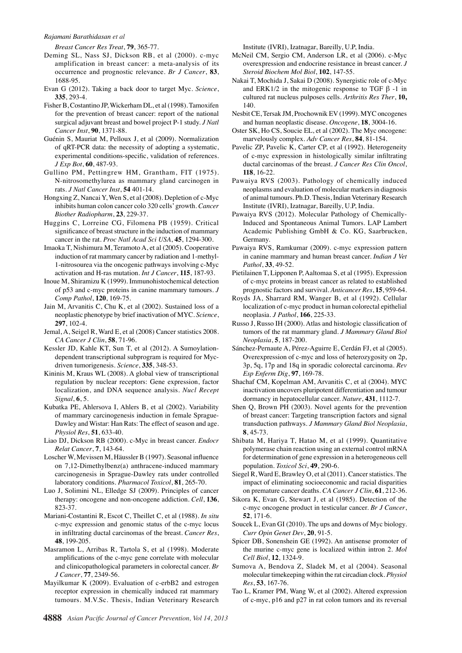#### *Rajamani Barathidasan et al*

*Breast Cancer Res Treat*, **79**, 365-77.

- Deming SL, Nass SJ, Dickson RB, et al (2000). c-myc amplification in breast cancer: a meta-analysis of its occurrence and prognostic relevance. *Br J Cancer*, **83**, 1688-95.
- Evan G (2012). Taking a back door to target Myc. *Science*, **335**, 293-4.
- Fisher B, Costantino JP, Wickerham DL, et al (1998). Tamoxifen for the prevention of breast cancer: report of the national surgical adjuvant breast and bowel project P-1 study. *J Natl Cancer Inst*, **90**, 1371-88.
- Guénin S, Mauriat M, Pelloux J, et al (2009). Normalization of qRT-PCR data: the necessity of adopting a systematic, experimental conditions-specific, validation of references. *J Exp Bot*, **60**, 487-93.
- Gullino PM, Pettingrew HM, Grantham, FIT (1975). N-nitrosomethylurea as mammary gland carcinogen in rats. *J Natl Cancer Inst*, **54** 401-14.
- Hongxing Z, Nancai Y, Wen S, et al (2008). Depletion of c-Myc inhibits human colon cancer colo 320 cells' growth. *Cancer Biother Radiopharm*, **23**, 229-37.
- Huggins C, Lorreine CG, Filomena PB (1959). Critical significance of breast structure in the induction of mammary cancer in the rat. *Proc Natl Acad Sci USA*, **45**, 1294-300.
- Imaoka T, Nishimura M, Teramoto A, et al (2005). Cooperative induction of rat mammary cancer by radiation and 1-methyl-1-nitrosourea via the oncogenic pathways involving c-Myc activation and H-ras mutation. *Int J Cancer*, **115**, 187-93.
- Inoue M, Shiramizu K (1999). Immunohistochemical detection of p53 and c-myc proteins in canine mammary tumours. *J Comp Pathol*, **120**, 169-75.
- Jain M, Arvanitis C, Chu K, et al (2002). Sustained loss of a neoplastic phenotype by brief inactivation of MYC. *Science*, **297**, 102-4.
- Jemal, A, Seigel R, Ward E, et al (2008) Cancer statistics 2008. *CA Cancer J Clin*, **58**, 71-96.
- Kessler JD, Kahle KT, Sun T, et al (2012). A Sumoylationdependent transcriptional subprogram is required for Mycdriven tumorigenesis. *Science*, **335**, 348-53.
- Kininis M, Kraus WL (2008). A global view of transcriptional regulation by nuclear receptors: Gene expression, factor localization, and DNA sequence analysis. *Nucl Recept Signal*, **6**, 5.
- Kubatka PE, Ahlersova I, Ahlers B, et al (2002). Variability of mammary carcinogenesis induction in female Sprague-Dawley and Wistar: Han Rats: The effect of season and age. *Physiol Res*, **51**, 633-40.
- Liao DJ, Dickson RB (2000). c-Myc in breast cancer. *Endocr Relat Cancer*, **7**, 143-64.
- Loscher W, Mevissen M, Häussler B (1997). Seasonal influence on 7,12-Dimethylbenz(a) anthracene-induced mammary carcinogenesis in Sprague-Dawley rats under controlled laboratory conditions. *Pharmacol Toxicol*, **81**, 265-70.
- Luo J, Solimini NL, Elledge SJ (2009). Principles of cancer therapy: oncogene and non-oncogene addiction. *Cell*, **136**, 823-37.
- Mariani-Costantini R, Escot C, Theillet C, et al (1988). *In situ*  c-myc expression and genomic status of the c-myc locus in infiltrating ductal carcinomas of the breast. *Cancer Res*, **48**, 199-205.
- Masramon L, Arribas R, Tartola S, et al (1998). Moderate amplifications of the c-myc gene correlate with molecular and clinicopathological parameters in colorectal cancer. *Br J Cancer*, **77**, 2349-56.
- Mayilkumar K (2009). Evaluation of c-erbB2 and estrogen receptor expression in chemically induced rat mammary tumours. M.V.Sc. Thesis, Indian Veterinary Research

Institute (IVRI), Izatnagar, Bareilly, U.P, India.

- McNeil CM, Sergio CM, Anderson LR, et al (2006). c-Myc overexpression and endocrine resistance in breast cancer. *J Steroid Biochem Mol Biol*, **102**, 147-55.
- Nakai T, Mochida J, Sakai D (2008). Synergistic role of c-Myc and ERK1/2 in the mitogenic response to TGF  $β -1$  in cultured rat nucleus pulposes cells. *Arthritis Res Ther*, **10,** 140.
- Nesbit CE, Tersak JM, Prochownik EV (1999). MYC oncogenes and human neoplastic disease. *Oncogene*, **18**, 3004-16.
- Oster SK, Ho CS, Soucie EL, et al (2002). The Myc oncogene: marvelously complex. *Adv Cancer Res*, **84**, 81-154.
- Pavelic ZP, Pavelic K, Carter CP, et al (1992). Heterogeneity of c-myc expression in histologically similar infiltrating ductal carcinomas of the breast. *J Cancer Res Clin Oncol*, **118**, 16-22.
- Pawaiya RVS (2003). Pathology of chemically induced neoplasms and evaluation of molecular markers in diagnosis of animal tumours. Ph.D. Thesis, Indian Veterinary Research Institute (IVRI), Izatnagar, Bareilly, U.P, India.
- Pawaiya RVS (2012). Molecular Pathology of Chemically-Induced and Spontaneous Animal Tumors. LAP Lambert Academic Publishing GmbH & Co. KG, Saarbrucken, Germany.
- Pawaiya RVS, Ramkumar (2009). c-myc expression pattern in canine mammary and human breast cancer. *Indian J Vet Pathol*, **33**, 49-52.
- Pietilainen T, Lipponen P, Aaltomaa S, et al (1995). Expression of c-myc proteins in breast cancer as related to established prognostic factors and survival. *Anticancer Res*, **15**, 959-64.
- Royds JA, Sharrard RM, Wanger B, et al (1992). Cellular localization of c-myc product in human colorectal epithelial neoplasia. *J Pathol*, **166**, 225-33.
- Russo J, Russo IH (2000). Atlas and histologic classification of tumors of the rat mammary gland. *J Mammary Gland Biol Neoplasia*, **5**, 187-200.
- Sánchez-Pernaute A, Pérez-Aguirre E, Cerdán FJ, et al (2005). Overexpression of c-myc and loss of heterozygosity on 2p, 3p, 5q, 17p and 18q in sporadic colorectal carcinoma. *Rev Esp Enferm Dig*, **97**, 169-78.
- Shachaf CM, Kopelman AM, Arvanitis C, et al (2004). MYC inactivation uncovers pluripotent differentiation and tumour dormancy in hepatocellular cancer. *Nature*, **431**, 1112-7.
- Shen Q, Brown PH (2003). Novel agents for the prevention of breast cancer: Targeting transcription factors and signal transduction pathways. *J Mammary Gland Biol Neoplasia*, **8**, 45-73.
- Shibata M, Hariya T, Hatao M, et al (1999). Quantitative polymerase chain reaction using an external control mRNA for determination of gene expression in a heterogeneous cell population. *Toxicol Sci*, **49**, 290-6.
- Siegel R, Ward E, Brawley O, et al (2011). Cancer statistics. The impact of eliminating socioeconomic and racial disparities on premature cancer deaths. *CA Cancer J Clin*, **61**, 212-36.
- Sikora K, Evan G, Stewart J, et al (1985). Detection of the c-myc oncogene product in testicular cancer. *Br J Cancer*, **52**, 171-6.
- Soucek L, Evan GI (2010). The ups and downs of Myc biology. *Curr Opin Genet Dev*, **20**, 91-5.
- Spicer DB, Sonenshein GE (1992). An antisense promoter of the murine c-myc gene is localized within intron 2. *Mol Cell Biol*, **12**, 1324-9.
- Sumova A, Bendova Z, Sladek M, et al (2004). Seasonal molecular timekeeping within the rat circadian clock. *Physiol Res*, **53**, 167-76.
- Tao L, Kramer PM, Wang W, et al (2002). Altered expression of c-myc, p16 and p27 in rat colon tumors and its reversal